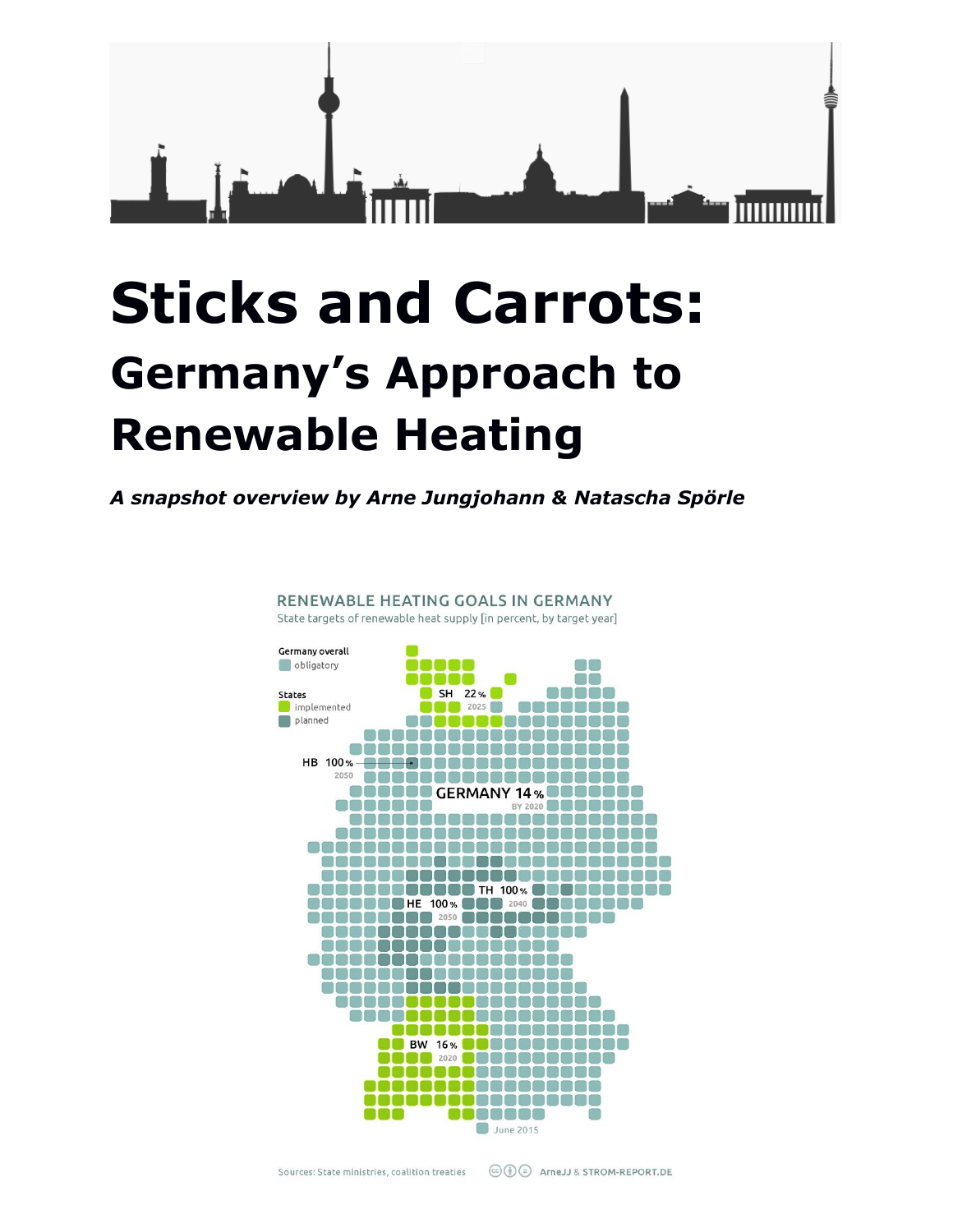

*A snapshot overview by Arne Jungjohann & Natascha Spörle*

RENEWABLE HEATING GOALS IN GERMANY

State targets of renewable heat supply [in percent, by target year] Germany overall obligatory n in 100 O n a SH 22% an na **States** implemented 2025 mmmm planned DOOO08888 <u>0000000000000000</u> ,,,,,,,,,,,,,,,,,,,, HB 100%-<del>------</del>-------------------2050 0000000000000000000 **BOODDO GERMANY 14% DODDO** 0000000 BY 2020 **COLORED** 88888888888 neeneene \_\_\_\_\_\_\_\_\_\_\_\_\_\_\_\_\_\_\_\_\_\_\_\_ \_\_\_\_\_\_\_\_\_\_\_\_\_\_\_\_\_\_\_\_\_\_\_\_\_\_\_\_ ,,,,,,,,,,,,,,,,,,,,,,, ,,,,,,,,,,,,,,,,,,,,,,,,,, **888888888888** TH 100% **8888888888 BOBBO**HE 100% **BOB** 2040 **BO** nnanaa **000000000 2050 0000000000** 888888888888888888 a a a a a a a a a a a a a a a a a sa sa sa sa sa sa sa sa s N A RA RA RA RA RA RA RA e o e o e e ma e a e e e e e e e e nanana BOOGAAAAAAAA ................ **BW 16% DODGGGGGGGGG** 88 2020 **18888888888** Teenees a ana ana ana ta na na na na **ICOOOC** June 2015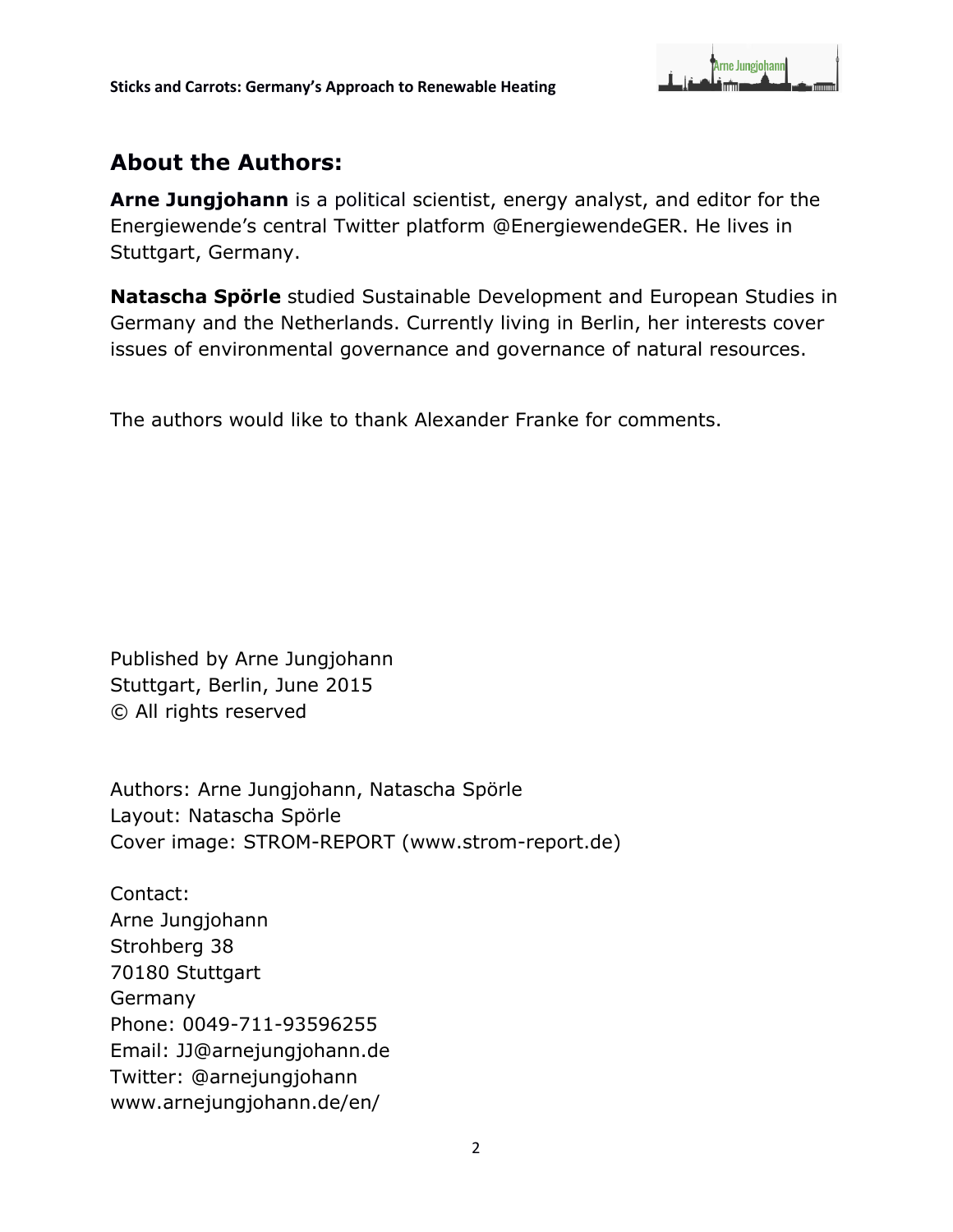

# **About the Authors:**

**Arne Jungjohann** is a political scientist, energy analyst, and editor for the Energiewende's central Twitter platform [@EnergiewendeGER.](https://twitter.com/EnergiewendeGER) He lives in Stuttgart, Germany.

**Natascha Spörle** studied Sustainable Development and European Studies in Germany and the Netherlands. Currently living in Berlin, her interests cover issues of environmental governance and governance of natural resources.

The authors would like to thank Alexander Franke for comments.

Published by Arne Jungjohann Stuttgart, Berlin, June 2015 © All rights reserved

Authors: Arne Jungjohann, Natascha Spörle Layout: Natascha Spörle Cover image: STROM-REPORT (www.strom-report.de)

Contact: Arne Jungjohann Strohberg 38 70180 Stuttgart Germany Phone: 0049-711-93596255 Email: [JJ@arnejungjohann.de](mailto:JJ@arnejungjohann.de) Twitter: [@arnejungjohann](https://twitter.com/ArneJungjohann) [www.arnejungjohann.de/en/](http://www.arnejungjohann.de/en/)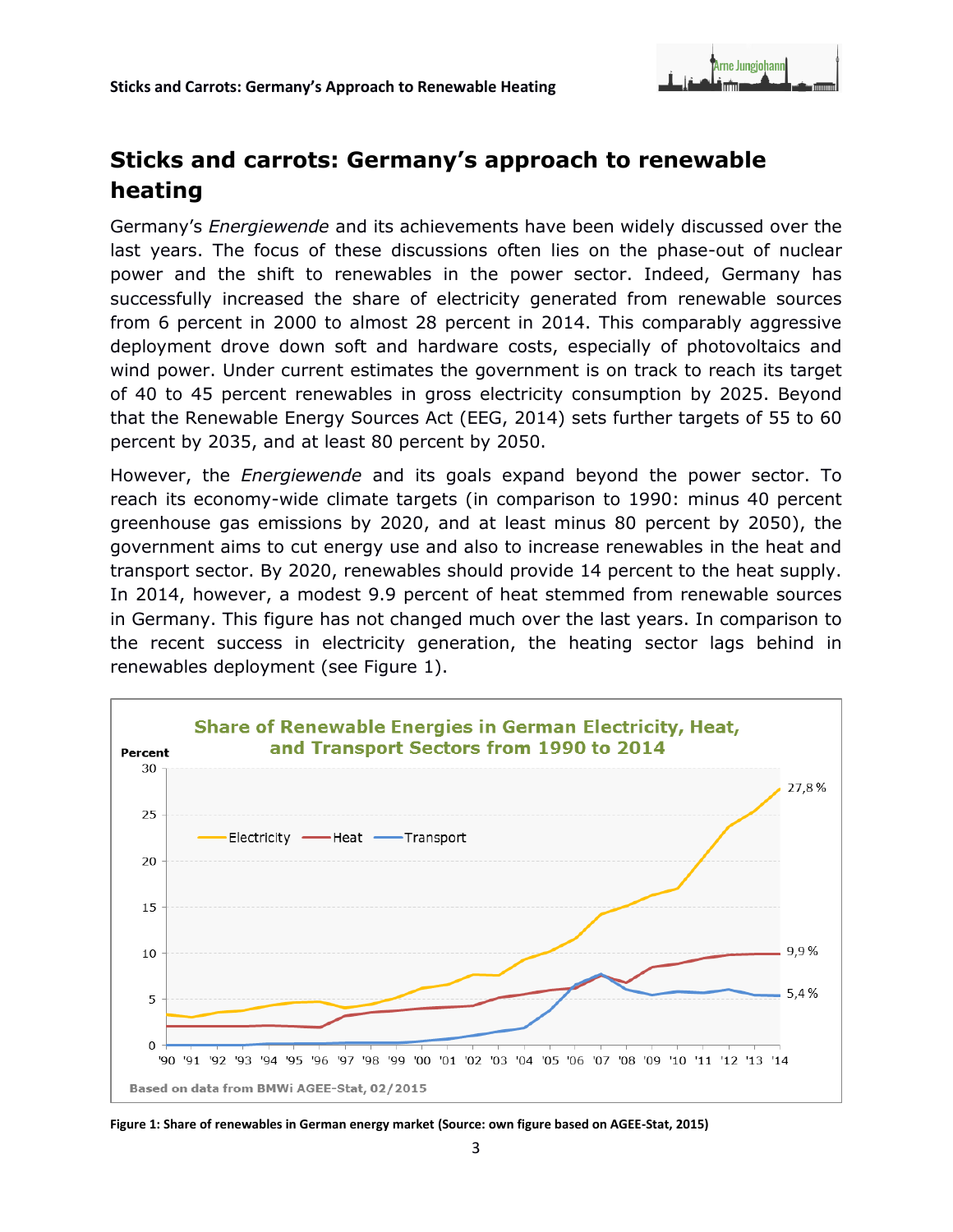

Germany's *Energiewende* and its achievements have been widely discussed over the last years. The focus of these discussions often lies on the phase-out of nuclear power and the shift to renewables in the power sector. Indeed, Germany has successfully increased the share of electricity generated from renewable sources from 6 percent in 2000 to almost 28 percent in 2014. This comparably aggressive deployment drove down soft and hardware costs, especially of photovoltaics and wind power. Under current estimates the government is on track to reach its target of 40 to 45 percent renewables in gross electricity consumption by 2025. Beyond that the Renewable Energy Sources Act (EEG, 2014) sets further targets of 55 to 60 percent by 2035, and at least 80 percent by 2050.

However, the *Energiewende* and its goals expand beyond the power sector. To reach its economy-wide climate targets (in comparison to 1990: minus 40 percent greenhouse gas emissions by 2020, and at least minus 80 percent by 2050), the government aims to cut energy use and also to increase renewables in the heat and transport sector. By 2020, renewables should provide 14 percent to the heat supply. In 2014, however, a modest 9.9 percent of heat stemmed from renewable sources in Germany. This figure has not changed much over the last years. In comparison to the recent success in electricity generation, the heating sector lags behind in renewables deployment (see Figure 1).



**Figure 1: Share of renewables in German energy market (Source: own figure based on AGEE-Stat, 2015)**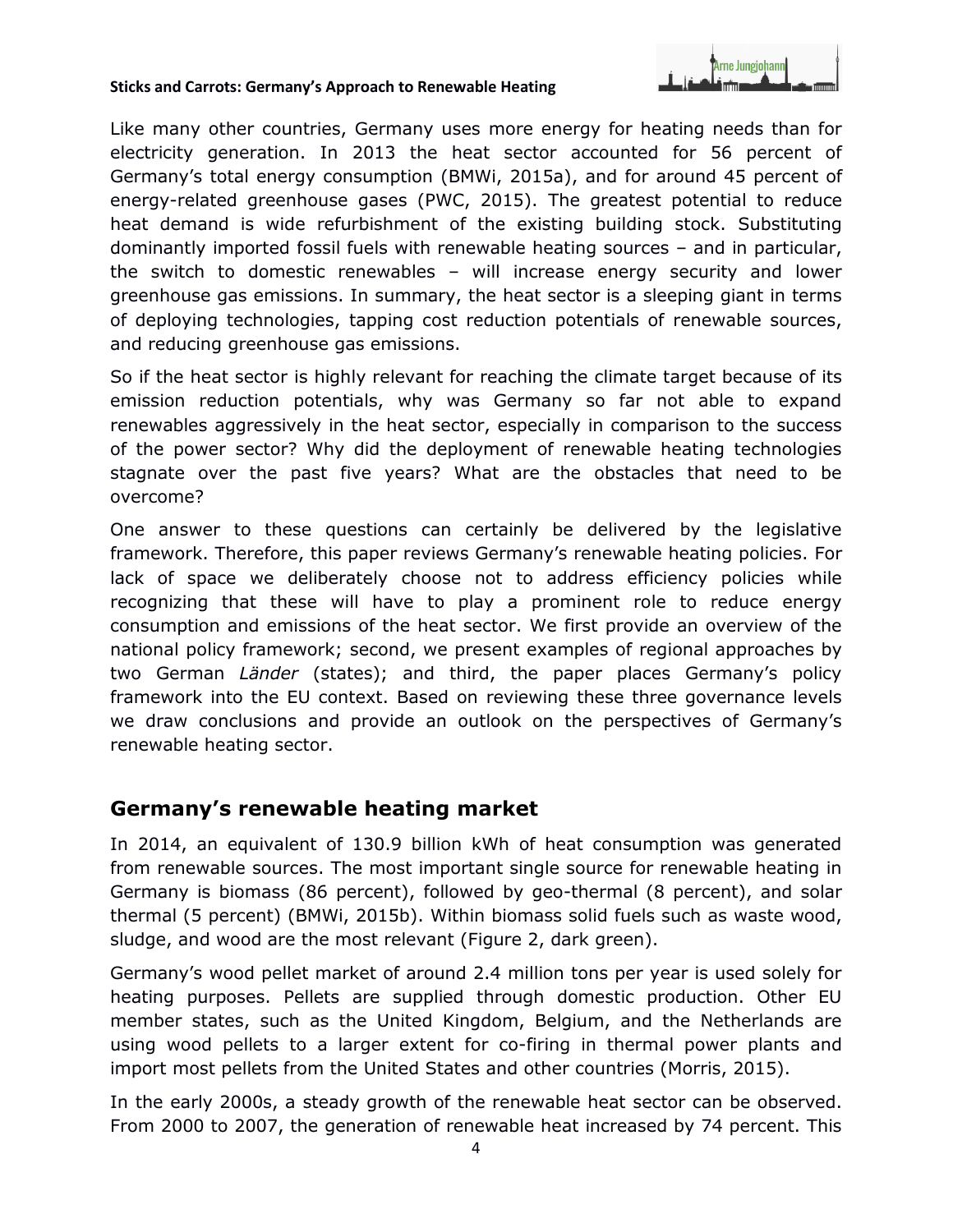

Like many other countries, Germany uses more energy for heating needs than for electricity generation. In 2013 the heat sector accounted for 56 percent of Germany's total energy consumption (BMWi, 2015a), and for around 45 percent of energy-related greenhouse gases (PWC, 2015). The greatest potential to reduce heat demand is wide refurbishment of the existing building stock. Substituting dominantly imported fossil fuels with renewable heating sources – and in particular, the switch to domestic renewables – will increase energy security and lower greenhouse gas emissions. In summary, the heat sector is a sleeping giant in terms of deploying technologies, tapping cost reduction potentials of renewable sources, and reducing greenhouse gas emissions.

So if the heat sector is highly relevant for reaching the climate target because of its emission reduction potentials, why was Germany so far not able to expand renewables aggressively in the heat sector, especially in comparison to the success of the power sector? Why did the deployment of renewable heating technologies stagnate over the past five years? What are the obstacles that need to be overcome?

One answer to these questions can certainly be delivered by the legislative framework. Therefore, this paper reviews Germany's renewable heating policies. For lack of space we deliberately choose not to address efficiency policies while recognizing that these will have to play a prominent role to reduce energy consumption and emissions of the heat sector. We first provide an overview of the national policy framework; second, we present examples of regional approaches by two German *Länder* (states); and third, the paper places Germany's policy framework into the EU context. Based on reviewing these three governance levels we draw conclusions and provide an outlook on the perspectives of Germany's renewable heating sector.

## **Germany's renewable heating market**

In 2014, an equivalent of 130.9 billion kWh of heat consumption was generated from renewable sources. The most important single source for renewable heating in Germany is biomass (86 percent), followed by geo-thermal (8 percent), and solar thermal (5 percent) (BMWi, 2015b). Within biomass solid fuels such as waste wood, sludge, and wood are the most relevant (Figure 2, dark green).

Germany's wood pellet market of around 2.4 million tons per year is used solely for heating purposes. Pellets are supplied through domestic production. Other EU member states, such as the United Kingdom, Belgium, and the Netherlands are using wood pellets to a larger extent for co-firing in thermal power plants and import most pellets from the United States and other countries (Morris, 2015).

In the early 2000s, a steady growth of the renewable heat sector can be observed. From 2000 to 2007, the generation of renewable heat increased by 74 percent. This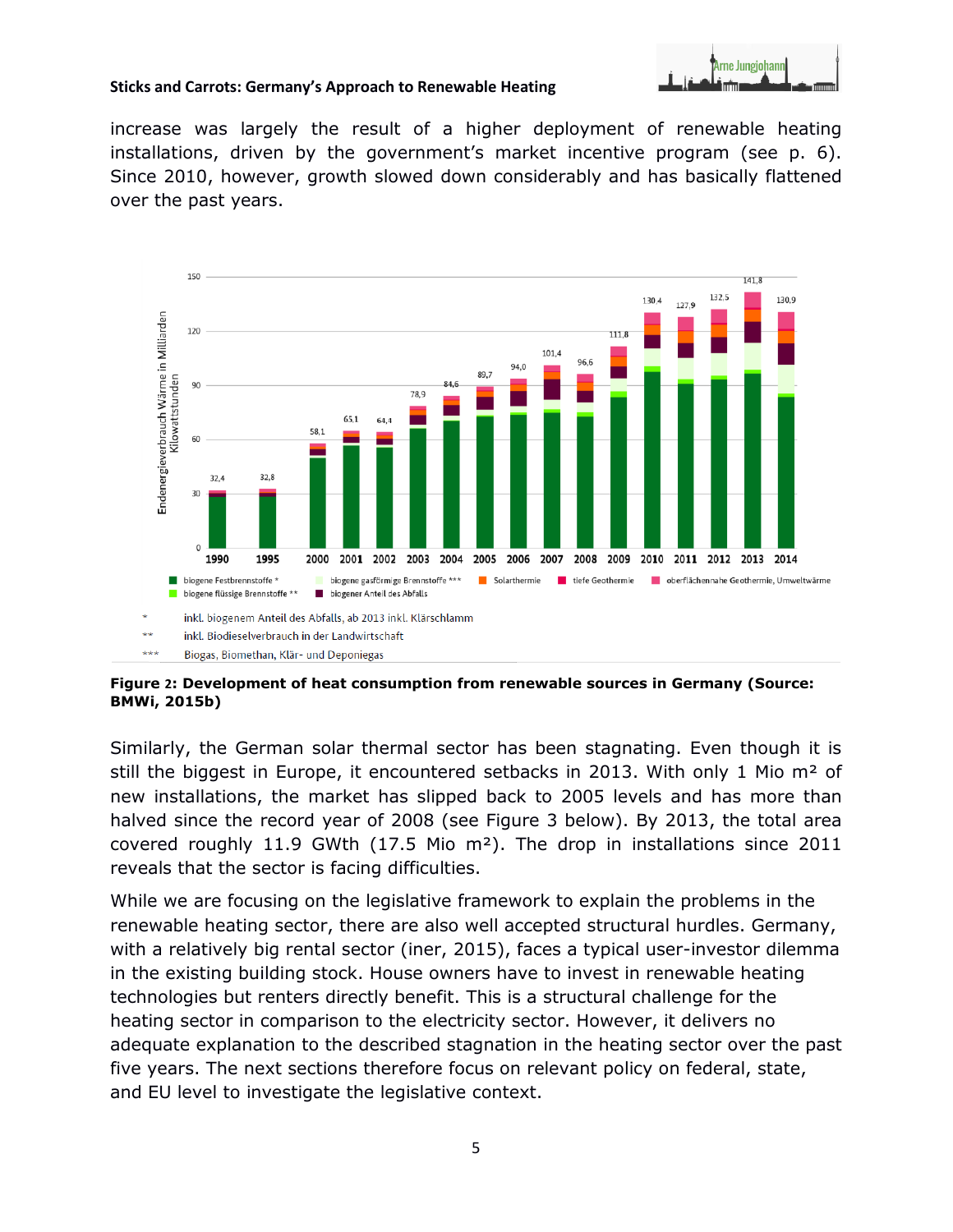

increase was largely the result of a higher deployment of renewable heating installations, driven by the government's market incentive program (see p. 6). Since 2010, however, growth slowed down considerably and has basically flattened over the past years.



**Figure 2: Development of heat consumption from renewable sources in Germany (Source: BMWi, 2015b)**

Similarly, the German solar thermal sector has been stagnating. Even though it is still the biggest in Europe, it encountered setbacks in 2013. With only 1 Mio  $m<sup>2</sup>$  of new installations, the market has slipped back to 2005 levels and has more than halved since the record year of 2008 (see Figure 3 below). By 2013, the total area covered roughly 11.9 GWth (17.5 Mio m²). The drop in installations since 2011 reveals that the sector is facing difficulties.

While we are focusing on the legislative framework to explain the problems in the renewable heating sector, there are also well accepted structural hurdles. Germany, with a relatively big rental sector (iner, 2015), faces a typical user-investor dilemma in the existing building stock. House owners have to invest in renewable heating technologies but renters directly benefit. This is a structural challenge for the heating sector in comparison to the electricity sector. However, it delivers no adequate explanation to the described stagnation in the heating sector over the past five years. The next sections therefore focus on relevant policy on federal, state, and EU level to investigate the legislative context.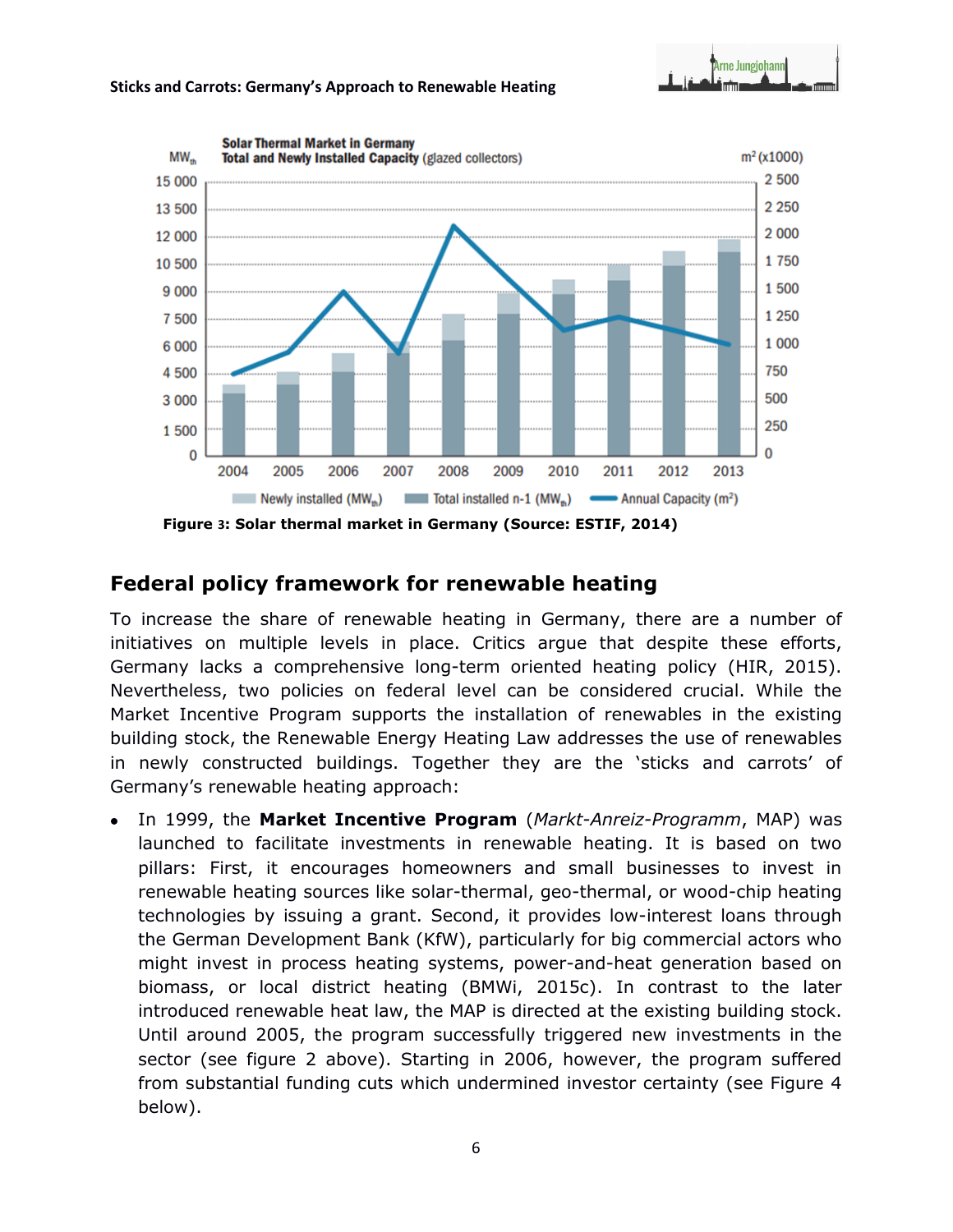



## **Federal policy framework for renewable heating**

To increase the share of renewable heating in Germany, there are a number of initiatives on multiple levels in place. Critics argue that despite these efforts, Germany lacks a comprehensive long-term oriented heating policy (HIR, 2015). Nevertheless, two policies on federal level can be considered crucial. While the Market Incentive Program supports the installation of renewables in the existing building stock, the Renewable Energy Heating Law addresses the use of renewables in newly constructed buildings. Together they are the 'sticks and carrots' of Germany's renewable heating approach:

 In 1999, the **Market Incentive Program** (*Markt-Anreiz-Programm*, MAP) was launched to facilitate investments in renewable heating. It is based on two pillars: First, it encourages homeowners and small businesses to invest in renewable heating sources like solar-thermal, geo-thermal, or wood-chip heating technologies by issuing a grant. Second, it provides low-interest loans through the German Development Bank (KfW), particularly for big commercial actors who might invest in process heating systems, power-and-heat generation based on biomass, or local district heating (BMWi, 2015c). In contrast to the later introduced renewable heat law, the MAP is directed at the existing building stock. Until around 2005, the program successfully triggered new investments in the sector (see figure 2 above). Starting in 2006, however, the program suffered from substantial funding cuts which undermined investor certainty (see Figure 4 below).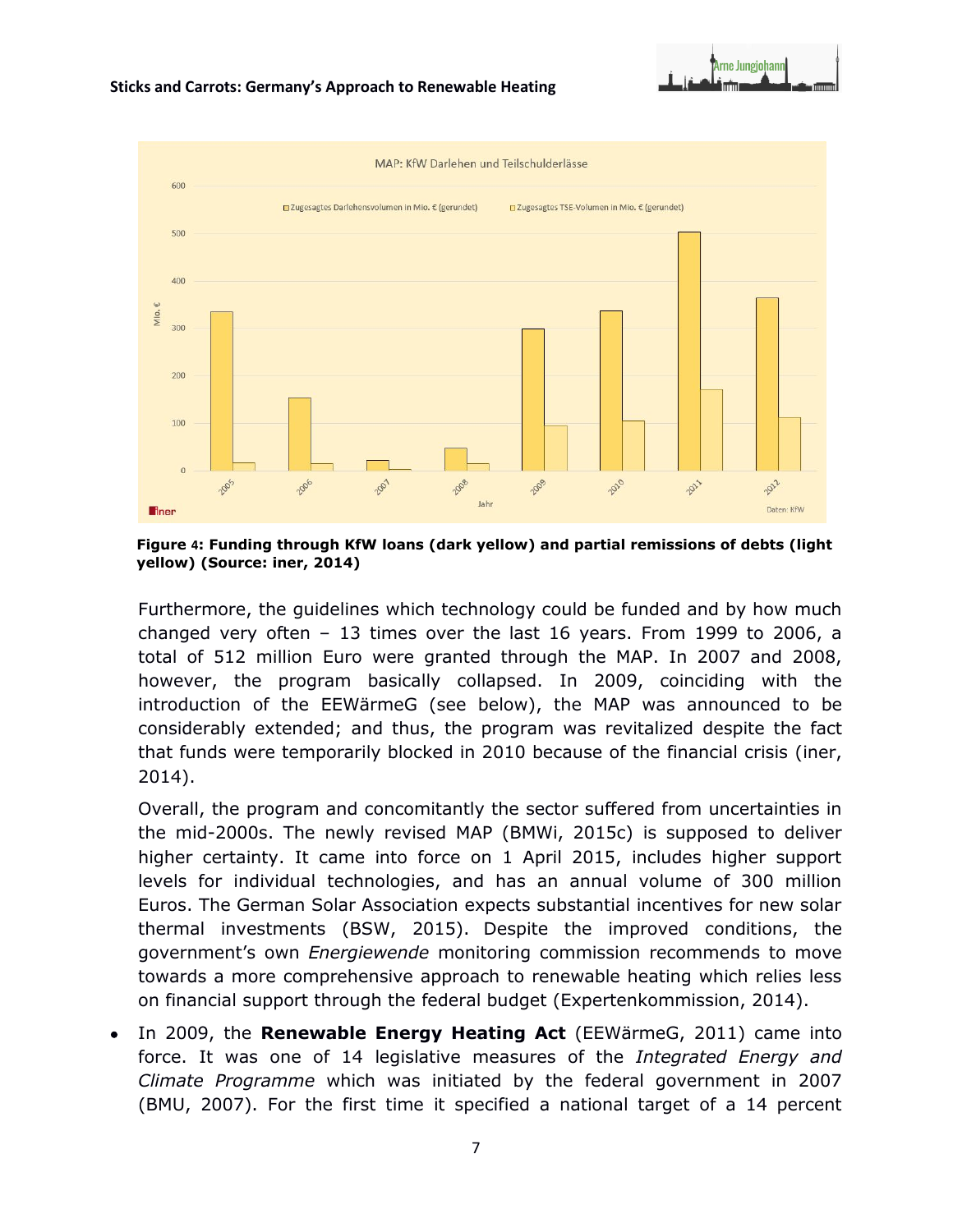

**Figure 4: Funding through KfW loans (dark yellow) and partial remissions of debts (light yellow) (Source: iner, 2014)**

Furthermore, the guidelines which technology could be funded and by how much changed very often – 13 times over the last 16 years. From 1999 to 2006, a total of 512 million Euro were granted through the MAP. In 2007 and 2008, however, the program basically collapsed. In 2009, coinciding with the introduction of the EEWärmeG (see below), the MAP was announced to be considerably extended; and thus, the program was revitalized despite the fact that funds were temporarily blocked in 2010 because of the financial crisis (iner, 2014).

Overall, the program and concomitantly the sector suffered from uncertainties in the mid-2000s. The newly revised MAP (BMWi, 2015c) is supposed to deliver higher certainty. It came into force on 1 April 2015, includes higher support levels for individual technologies, and has an annual volume of 300 million Euros. The German Solar Association expects substantial incentives for new solar thermal investments (BSW, 2015). Despite the improved conditions, the government's own *Energiewende* monitoring commission recommends to move towards a more comprehensive approach to renewable heating which relies less on financial support through the federal budget (Expertenkommission, 2014).

 In 2009, the **Renewable Energy Heating Act** (EEWärmeG, 2011) came into force. It was one of 14 legislative measures of the *Integrated Energy and Climate Programme* which was initiated by the federal government in 2007 (BMU, 2007). For the first time it specified a national target of a 14 percent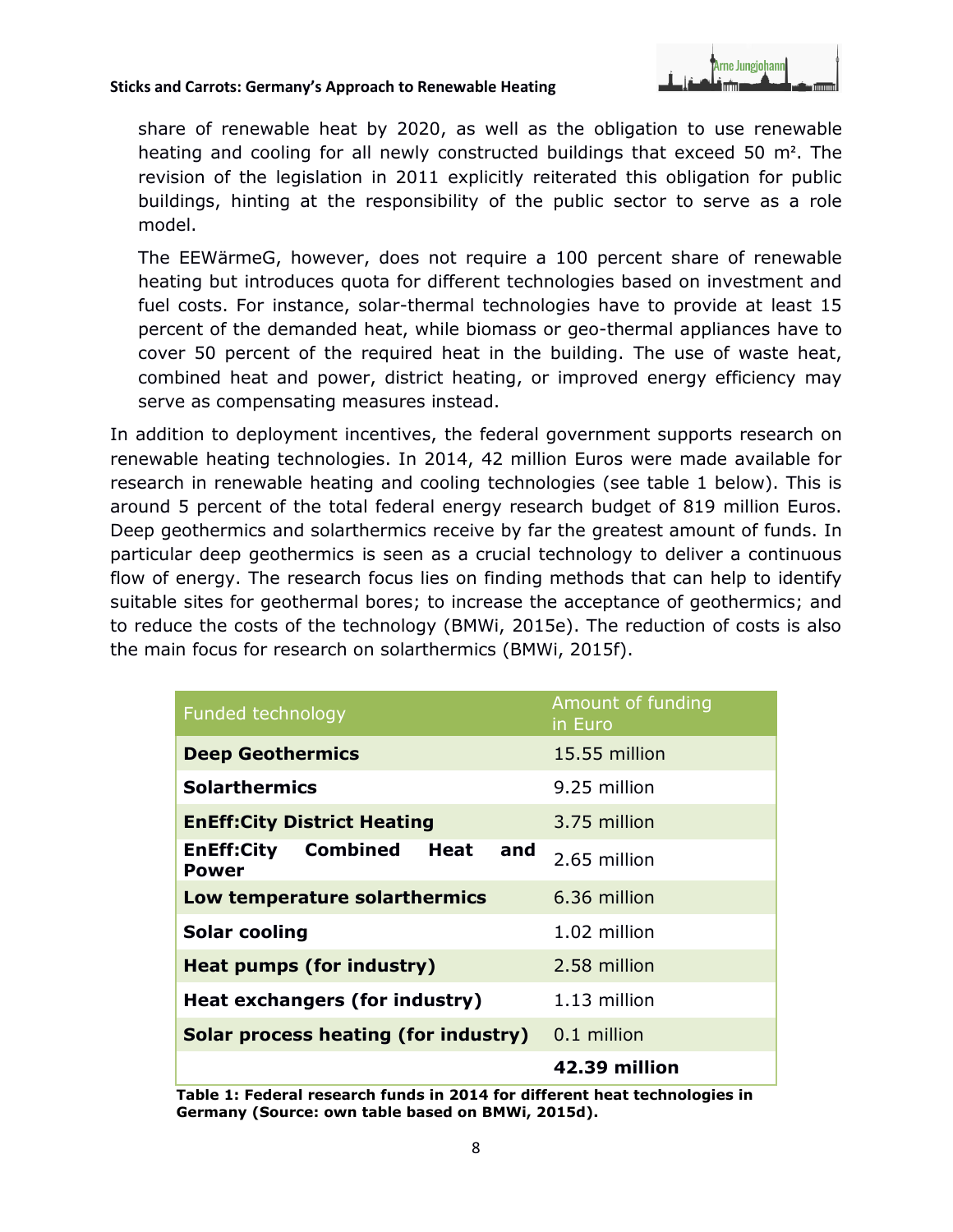

share of renewable heat by 2020, as well as the obligation to use renewable heating and cooling for all newly constructed buildings that exceed 50 m². The revision of the legislation in 2011 explicitly reiterated this obligation for public buildings, hinting at the responsibility of the public sector to serve as a role model.

The EEWärmeG, however, does not require a 100 percent share of renewable heating but introduces quota for different technologies based on investment and fuel costs. For instance, solar-thermal technologies have to provide at least 15 percent of the demanded heat, while biomass or geo-thermal appliances have to cover 50 percent of the required heat in the building. The use of waste heat, combined heat and power, district heating, or improved energy efficiency may serve as compensating measures instead.

In addition to deployment incentives, the federal government supports research on renewable heating technologies. In 2014, 42 million Euros were made available for research in renewable heating and cooling technologies (see table 1 below). This is around 5 percent of the total federal energy research budget of 819 million Euros. Deep geothermics and solarthermics receive by far the greatest amount of funds. In particular deep geothermics is seen as a crucial technology to deliver a continuous flow of energy. The research focus lies on finding methods that can help to identify suitable sites for geothermal bores; to increase the acceptance of geothermics; and to reduce the costs of the technology (BMWi, 2015e). The reduction of costs is also the main focus for research on solarthermics (BMWi, 2015f).

| <b>Funded technology</b>                                  | Amount of funding<br>in Euro |
|-----------------------------------------------------------|------------------------------|
| <b>Deep Geothermics</b>                                   | 15.55 million                |
| <b>Solarthermics</b>                                      | 9.25 million                 |
| <b>EnEff: City District Heating</b>                       | 3.75 million                 |
| <b>EnEff:City Combined</b><br>Heat<br>and<br><b>Power</b> | 2.65 million                 |
| Low temperature solarthermics                             | 6.36 million                 |
| <b>Solar cooling</b>                                      | 1.02 million                 |
| <b>Heat pumps (for industry)</b>                          | 2.58 million                 |
| Heat exchangers (for industry)                            | $1.13$ million               |
| <b>Solar process heating (for industry)</b> 0.1 million   |                              |
|                                                           | 42.39 million                |

**Table 1: Federal research funds in 2014 for different heat technologies in Germany (Source: own table based on BMWi, 2015d).**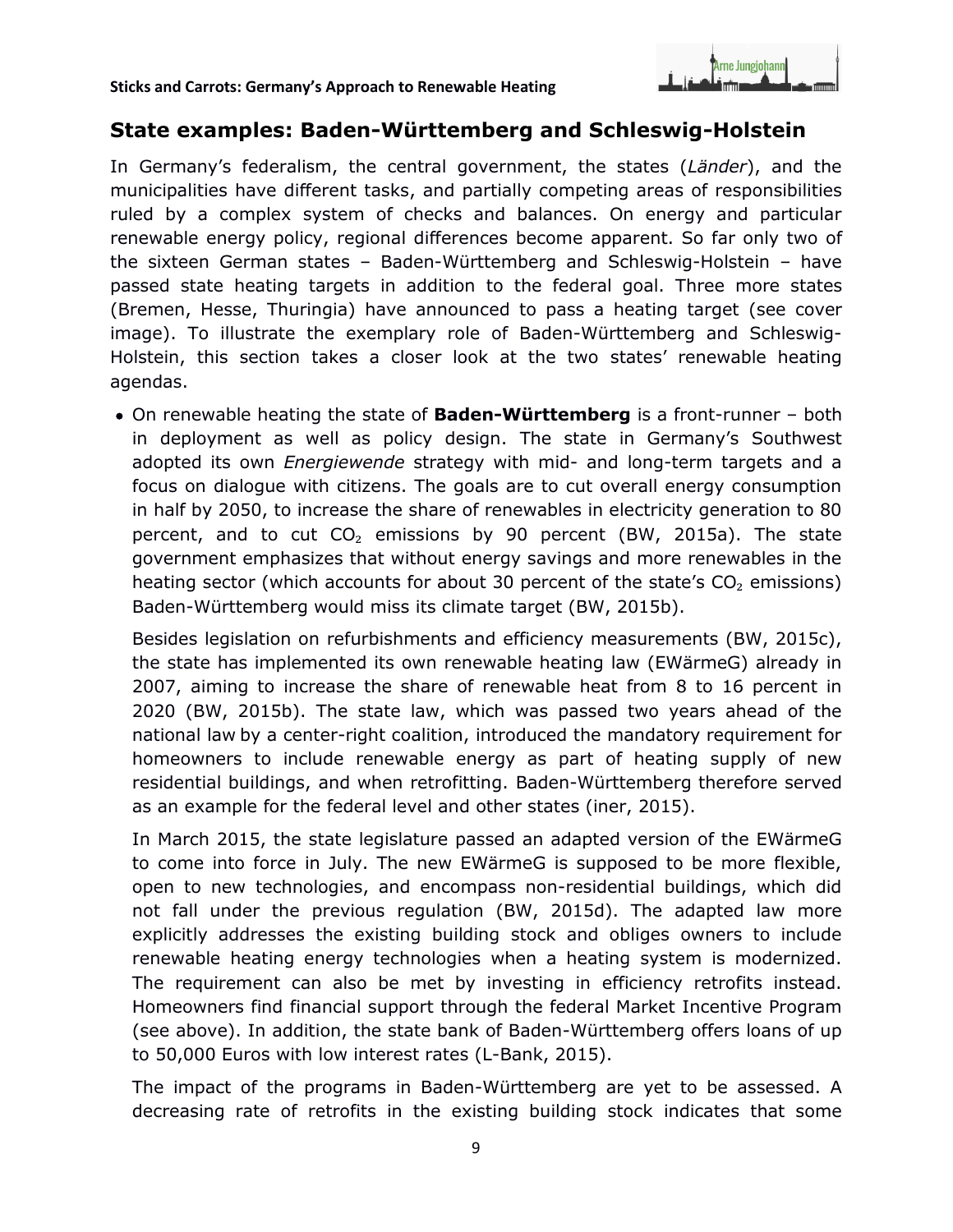

## **State examples: Baden-Württemberg and Schleswig-Holstein**

In Germany's federalism, the central government, the states (*Länder*), and the municipalities have different tasks, and partially competing areas of responsibilities ruled by a complex system of checks and balances. On energy and particular renewable energy policy, regional differences become apparent. So far only two of the sixteen German states – Baden-Württemberg and Schleswig-Holstein – have passed state heating targets in addition to the federal goal. Three more states (Bremen, Hesse, Thuringia) have announced to pass a heating target (see cover image). To illustrate the exemplary role of Baden-Württemberg and Schleswig-Holstein, this section takes a closer look at the two states' renewable heating agendas.

 On renewable heating the state of **Baden-Württemberg** is a front-runner – both in deployment as well as policy design. The state in Germany's Southwest adopted its own *Energiewende* strategy with mid- and long-term targets and a focus on dialogue with citizens. The goals are to cut overall energy consumption in half by 2050, to increase the share of renewables in electricity generation to 80 percent, and to cut  $CO<sub>2</sub>$  emissions by 90 percent (BW, 2015a). The state government emphasizes that without energy savings and more renewables in the heating sector (which accounts for about 30 percent of the state's  $CO<sub>2</sub>$  emissions) Baden-Württemberg would miss its climate target (BW, 2015b).

Besides legislation on refurbishments and efficiency measurements (BW, 2015c), the state has implemented its own renewable heating law (EWärmeG) already in 2007, aiming to increase the share of renewable heat from 8 to 16 percent in 2020 (BW, 2015b). The state law, which was passed two years ahead of the national law by a center-right coalition, introduced the mandatory requirement for homeowners to include renewable energy as part of heating supply of new residential buildings, and when retrofitting. Baden-Württemberg therefore served as an example for the federal level and other states (iner, 2015).

In March 2015, the state legislature passed an adapted version of the EWärmeG to come into force in July. The new EWärmeG is supposed to be more flexible, open to new technologies, and encompass non-residential buildings, which did not fall under the previous regulation (BW, 2015d). The adapted law more explicitly addresses the existing building stock and obliges owners to include renewable heating energy technologies when a heating system is modernized. The requirement can also be met by investing in efficiency retrofits instead. Homeowners find financial support through the federal Market Incentive Program (see above). In addition, the state bank of Baden-Württemberg offers loans of up to 50,000 Euros with low interest rates (L-Bank, 2015).

The impact of the programs in Baden-Württemberg are yet to be assessed. A decreasing rate of retrofits in the existing building stock indicates that some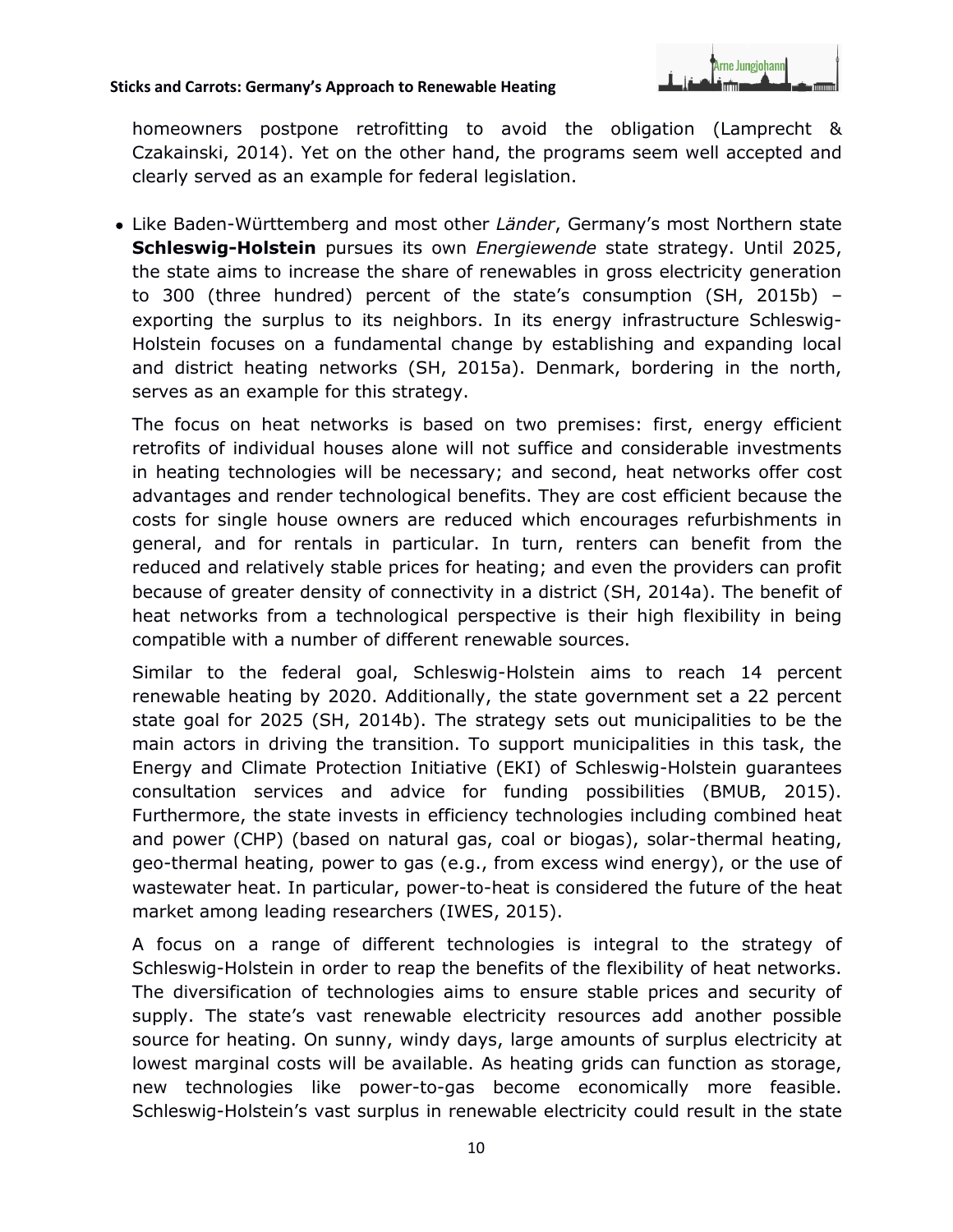

homeowners postpone retrofitting to avoid the obligation (Lamprecht & Czakainski, 2014). Yet on the other hand, the programs seem well accepted and clearly served as an example for federal legislation.

 Like Baden-Württemberg and most other *Länder*, Germany's most Northern state **Schleswig-Holstein** pursues its own *Energiewende* state strategy. Until 2025, the state aims to increase the share of renewables in gross electricity generation to 300 (three hundred) percent of the state's consumption (SH, 2015b) – exporting the surplus to its neighbors. In its energy infrastructure Schleswig-Holstein focuses on a fundamental change by establishing and expanding local and district heating networks (SH, 2015a). Denmark, bordering in the north, serves as an example for this strategy.

The focus on heat networks is based on two premises: first, energy efficient retrofits of individual houses alone will not suffice and considerable investments in heating technologies will be necessary; and second, heat networks offer cost advantages and render technological benefits. They are cost efficient because the costs for single house owners are reduced which encourages refurbishments in general, and for rentals in particular. In turn, renters can benefit from the reduced and relatively stable prices for heating; and even the providers can profit because of greater density of connectivity in a district (SH, 2014a). The benefit of heat networks from a technological perspective is their high flexibility in being compatible with a number of different renewable sources.

Similar to the federal goal, Schleswig-Holstein aims to reach 14 percent renewable heating by 2020. Additionally, the state government set a 22 percent state goal for 2025 (SH, 2014b). The strategy sets out municipalities to be the main actors in driving the transition. To support municipalities in this task, the Energy and Climate Protection Initiative (EKI) of Schleswig-Holstein guarantees consultation services and advice for funding possibilities (BMUB, 2015). Furthermore, the state invests in efficiency technologies including combined heat and power (CHP) (based on natural gas, coal or biogas), solar-thermal heating, geo-thermal heating, power to gas (e.g., from excess wind energy), or the use of wastewater heat. In particular, power-to-heat is considered the future of the heat market among leading researchers (IWES, 2015).

A focus on a range of different technologies is integral to the strategy of Schleswig-Holstein in order to reap the benefits of the flexibility of heat networks. The diversification of technologies aims to ensure stable prices and security of supply. The state's vast renewable electricity resources add another possible source for heating. On sunny, windy days, large amounts of surplus electricity at lowest marginal costs will be available. As heating grids can function as storage, new technologies like power-to-gas become economically more feasible. Schleswig-Holstein's vast surplus in renewable electricity could result in the state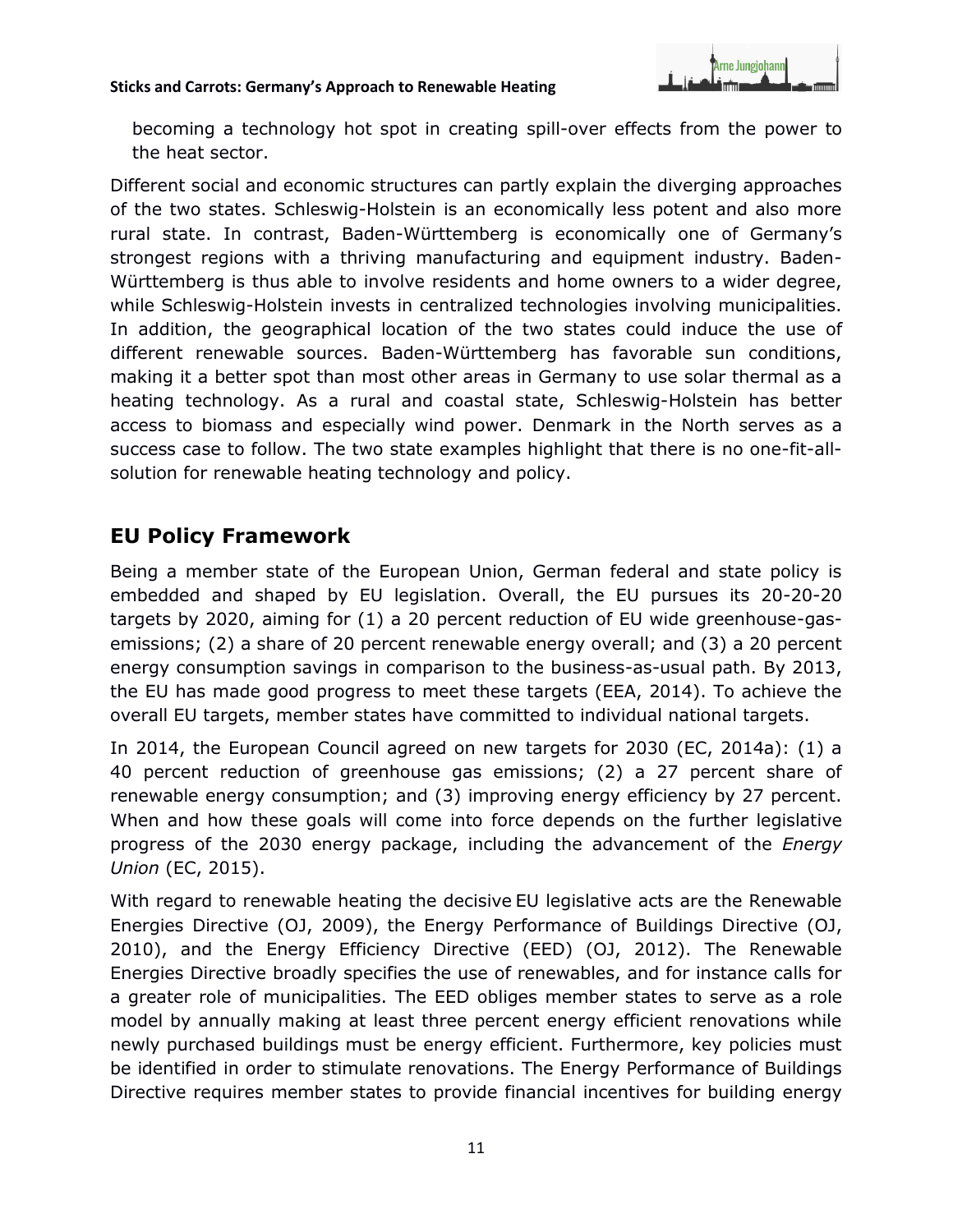

becoming a technology hot spot in creating spill-over effects from the power to the heat sector.

Different social and economic structures can partly explain the diverging approaches of the two states. Schleswig-Holstein is an economically less potent and also more rural state. In contrast, Baden-Württemberg is economically one of Germany's strongest regions with a thriving manufacturing and equipment industry. Baden-Württemberg is thus able to involve residents and home owners to a wider degree, while Schleswig-Holstein invests in centralized technologies involving municipalities. In addition, the geographical location of the two states could induce the use of different renewable sources. Baden-Württemberg has favorable sun conditions, making it a better spot than most other areas in Germany to use solar thermal as a heating technology. As a rural and coastal state, Schleswig-Holstein has better access to biomass and especially wind power. Denmark in the North serves as a success case to follow. The two state examples highlight that there is no one-fit-allsolution for renewable heating technology and policy.

# **EU Policy Framework**

Being a member state of the European Union, German federal and state policy is embedded and shaped by EU legislation. Overall, the EU pursues its 20-20-20 targets by 2020, aiming for (1) a 20 percent reduction of EU wide greenhouse-gasemissions; (2) a share of 20 percent renewable energy overall; and (3) a 20 percent energy consumption savings in comparison to the business-as-usual path. By 2013, the EU has made good progress to meet these targets (EEA, 2014). To achieve the overall EU targets, member states have committed to individual national targets.

In 2014, the European Council agreed on new targets for 2030 (EC, 2014a): (1) a 40 percent reduction of greenhouse gas emissions; (2) a 27 percent share of renewable energy consumption; and (3) improving energy efficiency by 27 percent. When and how these goals will come into force depends on the further legislative progress of the 2030 energy package, including the advancement of the *Energy Union* (EC, 2015).

With regard to renewable heating the decisive EU legislative acts are the Renewable Energies Directive (OJ, 2009), the Energy Performance of Buildings Directive (OJ, 2010), and the Energy Efficiency Directive (EED) (OJ, 2012). The Renewable Energies Directive broadly specifies the use of renewables, and for instance calls for a greater role of municipalities. The EED obliges member states to serve as a role model by annually making at least three percent energy efficient renovations while newly purchased buildings must be energy efficient. Furthermore, key policies must be identified in order to stimulate renovations. The Energy Performance of Buildings Directive requires member states to provide financial incentives for building energy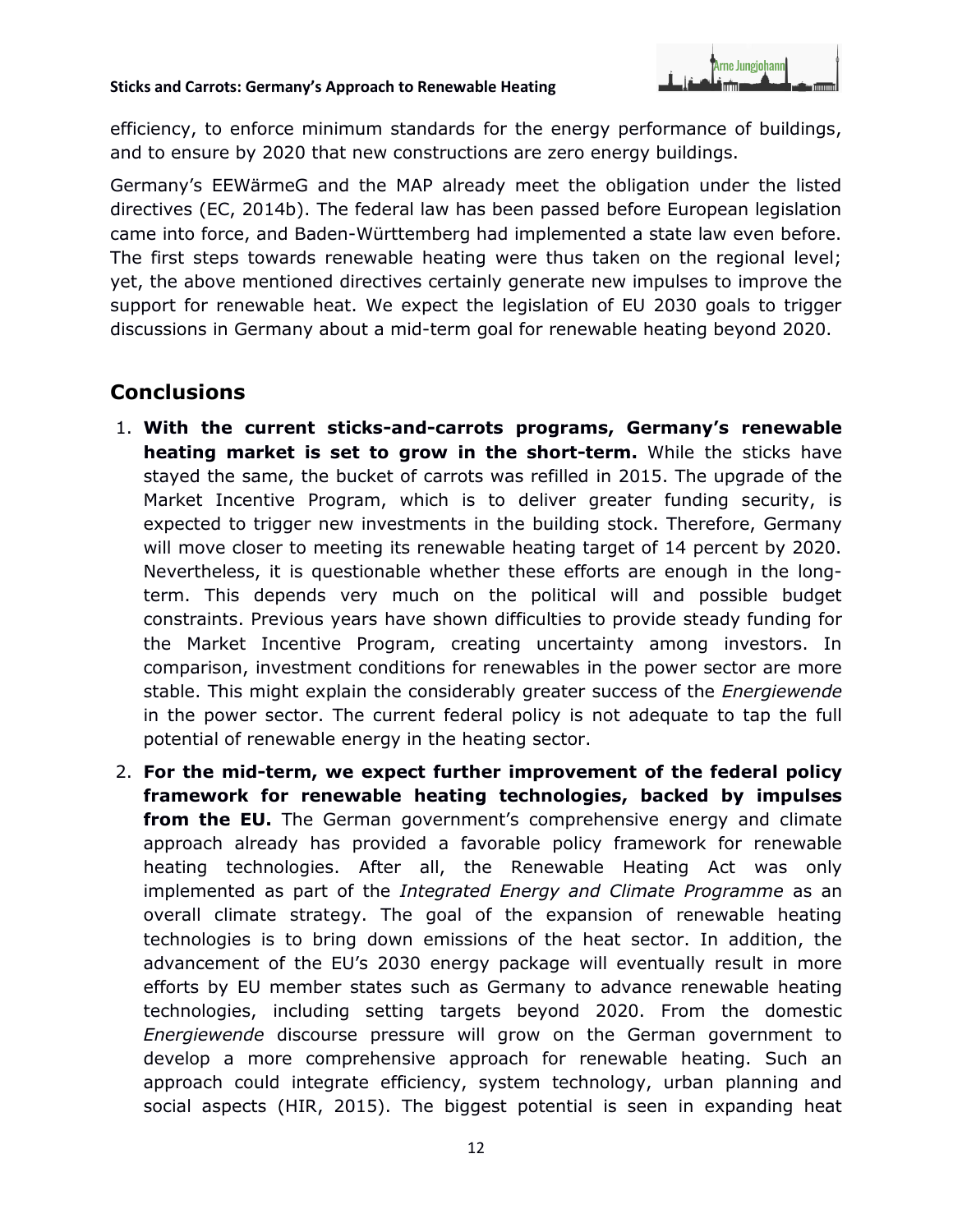

efficiency, to enforce minimum standards for the energy performance of buildings, and to ensure by 2020 that new constructions are zero energy buildings.

Germany's EEWärmeG and the MAP already meet the obligation under the listed directives (EC, 2014b). The federal law has been passed before European legislation came into force, and Baden-Württemberg had implemented a state law even before. The first steps towards renewable heating were thus taken on the regional level; yet, the above mentioned directives certainly generate new impulses to improve the support for renewable heat. We expect the legislation of EU 2030 goals to trigger discussions in Germany about a mid-term goal for renewable heating beyond 2020.

# **Conclusions**

- 1. **With the current sticks-and-carrots programs, Germany's renewable heating market is set to grow in the short-term.** While the sticks have stayed the same, the bucket of carrots was refilled in 2015. The upgrade of the Market Incentive Program, which is to deliver greater funding security, is expected to trigger new investments in the building stock. Therefore, Germany will move closer to meeting its renewable heating target of 14 percent by 2020. Nevertheless, it is questionable whether these efforts are enough in the longterm. This depends very much on the political will and possible budget constraints. Previous years have shown difficulties to provide steady funding for the Market Incentive Program, creating uncertainty among investors. In comparison, investment conditions for renewables in the power sector are more stable. This might explain the considerably greater success of the *Energiewende*  in the power sector. The current federal policy is not adequate to tap the full potential of renewable energy in the heating sector.
- 2. **For the mid-term, we expect further improvement of the federal policy framework for renewable heating technologies, backed by impulses from the EU.** The German government's comprehensive energy and climate approach already has provided a favorable policy framework for renewable heating technologies. After all, the Renewable Heating Act was only implemented as part of the *Integrated Energy and Climate Programme* as an overall climate strategy. The goal of the expansion of renewable heating technologies is to bring down emissions of the heat sector. In addition, the advancement of the EU's 2030 energy package will eventually result in more efforts by EU member states such as Germany to advance renewable heating technologies, including setting targets beyond 2020. From the domestic *Energiewende* discourse pressure will grow on the German government to develop a more comprehensive approach for renewable heating. Such an approach could integrate efficiency, system technology, urban planning and social aspects (HIR, 2015). The biggest potential is seen in expanding heat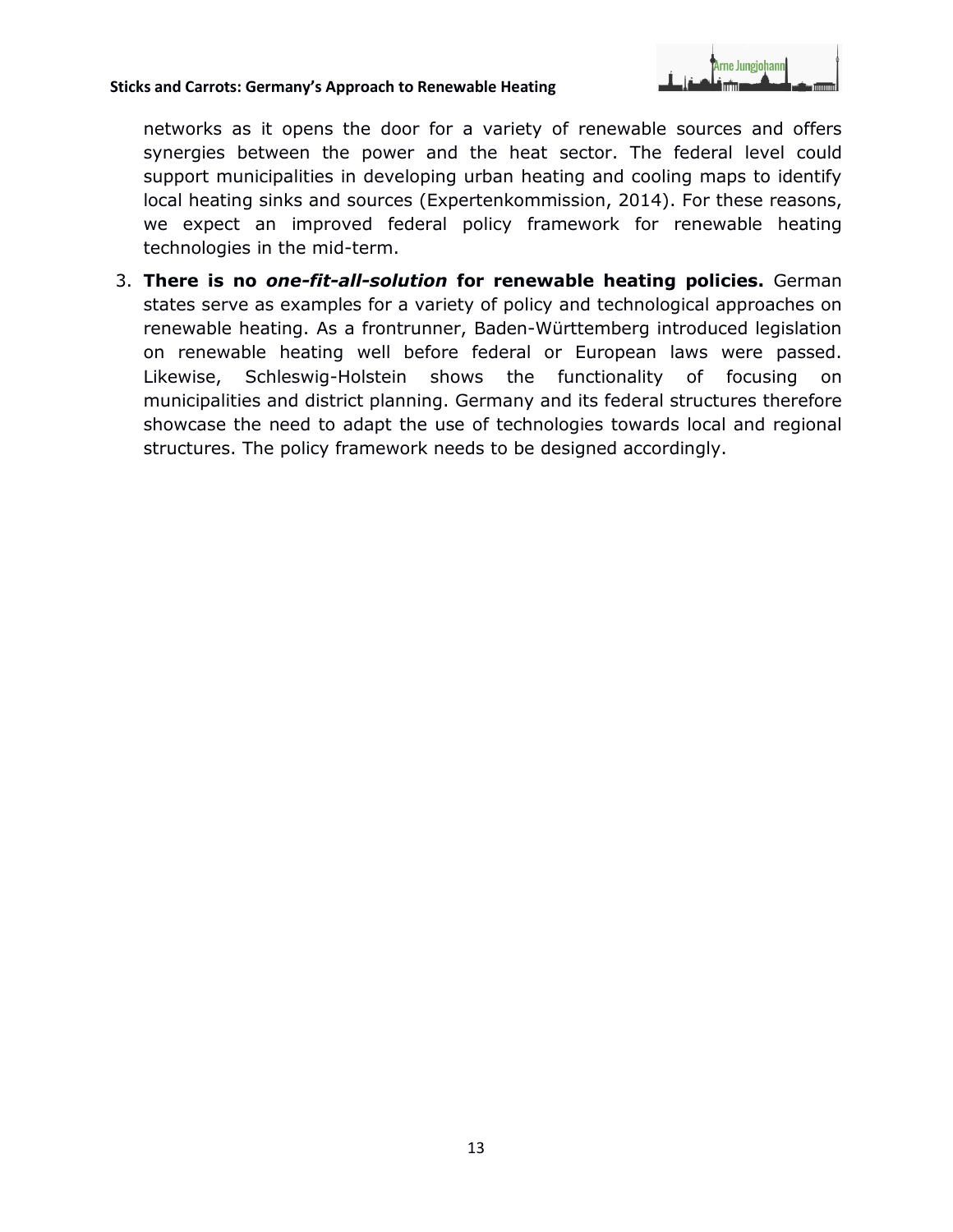

networks as it opens the door for a variety of renewable sources and offers synergies between the power and the heat sector. The federal level could support municipalities in developing urban heating and cooling maps to identify local heating sinks and sources (Expertenkommission, 2014). For these reasons, we expect an improved federal policy framework for renewable heating technologies in the mid-term.

3. **There is no** *one-fit-all-solution* **for renewable heating policies.** German states serve as examples for a variety of policy and technological approaches on renewable heating. As a frontrunner, Baden-Württemberg introduced legislation on renewable heating well before federal or European laws were passed. Likewise, Schleswig-Holstein shows the functionality of focusing on municipalities and district planning. Germany and its federal structures therefore showcase the need to adapt the use of technologies towards local and regional structures. The policy framework needs to be designed accordingly.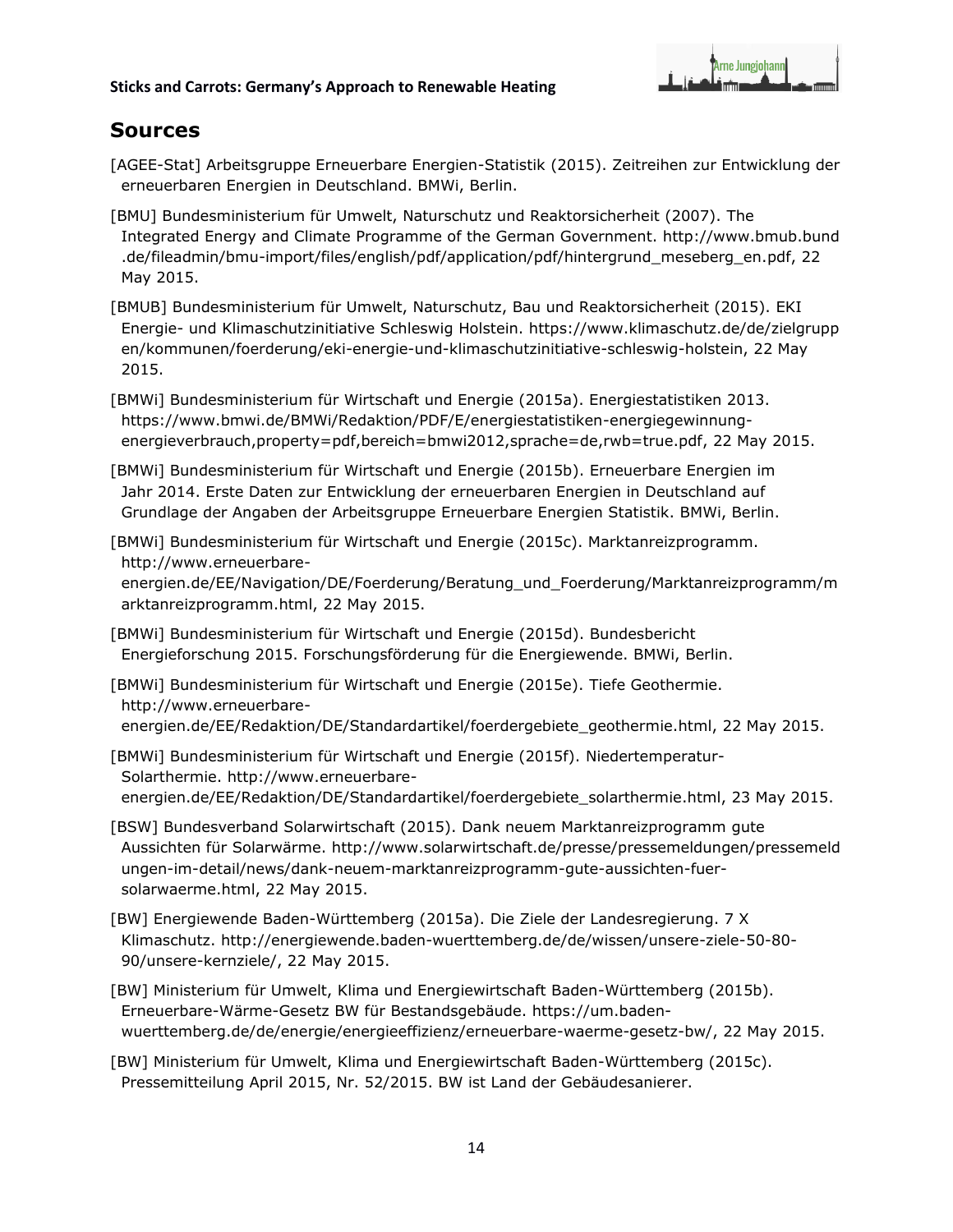

# **Sources**

- [AGEE-Stat] Arbeitsgruppe Erneuerbare Energien-Statistik (2015). Zeitreihen zur Entwicklung der erneuerbaren Energien in Deutschland. BMWi, Berlin.
- [BMU] Bundesministerium für Umwelt, Naturschutz und Reaktorsicherheit (2007). The Integrated Energy and Climate Programme of the German Government. [http://www.bmub.bund](http://www.bmub.bund.de/fileadmin/bmu-import/files/english/pdf/application/pdf/hintergrund_meseberg_en.pdf) [.de/fileadmin/bmu-import/files/english/pdf/application/pdf/hintergrund\\_meseberg\\_en.pdf,](http://www.bmub.bund.de/fileadmin/bmu-import/files/english/pdf/application/pdf/hintergrund_meseberg_en.pdf) 22 May 2015.
- [BMUB] Bundesministerium für Umwelt, Naturschutz, Bau und Reaktorsicherheit (2015). EKI Energie- und Klimaschutzinitiative Schleswig Holstein. [https://www.klimaschutz.de/de/zielgrupp](https://www.klimaschutz.de/de/zielgruppen/kommunen/foerderung/eki-energie-und-klimaschutzinitiative-schleswig-holstein) [en/kommunen/foerderung/eki-energie-und-klimaschutzinitiative-schleswig-holstein,](https://www.klimaschutz.de/de/zielgruppen/kommunen/foerderung/eki-energie-und-klimaschutzinitiative-schleswig-holstein) 22 May 2015.
- [BMWi] Bundesministerium für Wirtschaft und Energie (2015a). Energiestatistiken 2013. [https://www.bmwi.de/BMWi/Redaktion/PDF/E/energiestatistiken-energiegewinnung](https://www.bmwi.de/BMWi/Redaktion/PDF/E/energiestatistiken-energiegewinnung-energieverbrauch,property=pdf,bereich=bmwi2012,sprache=de,rwb=true.pdf)[energieverbrauch,property=pdf,bereich=bmwi2012,sprache=de,rwb=true.pdf,](https://www.bmwi.de/BMWi/Redaktion/PDF/E/energiestatistiken-energiegewinnung-energieverbrauch,property=pdf,bereich=bmwi2012,sprache=de,rwb=true.pdf) 22 May 2015.
- [BMWi] Bundesministerium für Wirtschaft und Energie (2015b). Erneuerbare Energien im Jahr 2014. Erste Daten zur Entwicklung der erneuerbaren Energien in Deutschland auf Grundlage der Angaben der Arbeitsgruppe Erneuerbare Energien Statistik. BMWi, Berlin.
- [BMWi] Bundesministerium für Wirtschaft und Energie (2015c). Marktanreizprogramm. [http://www.erneuerbare](http://www.erneuerbare-energien.de/EE/Navigation/DE/Foerderung/Beratung_und_Foerderung/Marktanreizprogramm/marktanreizprogramm.html)[energien.de/EE/Navigation/DE/Foerderung/Beratung\\_und\\_Foerderung/Marktanreizprogramm/m](http://www.erneuerbare-energien.de/EE/Navigation/DE/Foerderung/Beratung_und_Foerderung/Marktanreizprogramm/marktanreizprogramm.html) [arktanreizprogramm.html,](http://www.erneuerbare-energien.de/EE/Navigation/DE/Foerderung/Beratung_und_Foerderung/Marktanreizprogramm/marktanreizprogramm.html) 22 May 2015.
- [BMWi] Bundesministerium für Wirtschaft und Energie (2015d). Bundesbericht Energieforschung 2015. Forschungsförderung für die Energiewende. BMWi, Berlin.
- [BMWi] Bundesministerium für Wirtschaft und Energie (2015e). Tiefe Geothermie. [http://www.erneuerbare](http://www.erneuerbare-energien.de/EE/Redaktion/DE/Standardartikel/foerdergebiete_geothermie.html)[energien.de/EE/Redaktion/DE/Standardartikel/foerdergebiete\\_geothermie.html,](http://www.erneuerbare-energien.de/EE/Redaktion/DE/Standardartikel/foerdergebiete_geothermie.html) 22 May 2015.
- [BMWi] Bundesministerium für Wirtschaft und Energie (2015f). Niedertemperatur-Solarthermie. [http://www.erneuerbare](http://www.erneuerbare-energien.de/EE/Redaktion/DE/Standardartikel/foerdergebiete_solarthermie.html)[energien.de/EE/Redaktion/DE/Standardartikel/foerdergebiete\\_solarthermie.html,](http://www.erneuerbare-energien.de/EE/Redaktion/DE/Standardartikel/foerdergebiete_solarthermie.html) 23 May 2015.
- [BSW] Bundesverband Solarwirtschaft (2015). Dank neuem Marktanreizprogramm gute Aussichten für Solarwärme. [http://www.solarwirtschaft.de/presse/pressemeldungen/pressemeld](http://www.solarwirtschaft.de/presse/pressemeldungen/pressemeldungen-im-detail/news/dank-neuem-marktanreizprogramm-gute-aussichten-fuer-solarwaerme.html) [ungen-im-detail/news/dank-neuem-marktanreizprogramm-gute-aussichten-fuer](http://www.solarwirtschaft.de/presse/pressemeldungen/pressemeldungen-im-detail/news/dank-neuem-marktanreizprogramm-gute-aussichten-fuer-solarwaerme.html)[solarwaerme.html,](http://www.solarwirtschaft.de/presse/pressemeldungen/pressemeldungen-im-detail/news/dank-neuem-marktanreizprogramm-gute-aussichten-fuer-solarwaerme.html) 22 May 2015.
- [BW] Energiewende Baden-Württemberg (2015a). Die Ziele der Landesregierung. 7 X Klimaschutz. [http://energiewende.baden-wuerttemberg.de/de/wissen/unsere-ziele-50-80-](http://energiewende.baden-wuerttemberg.de/de/wissen/unsere-ziele-50-80-90/unsere-kernziele/) [90/unsere-kernziele/,](http://energiewende.baden-wuerttemberg.de/de/wissen/unsere-ziele-50-80-90/unsere-kernziele/) 22 May 2015.
- [BW] Ministerium für Umwelt, Klima und Energiewirtschaft Baden-Württemberg (2015b). Erneuerbare-Wärme-Gesetz BW für Bestandsgebäude. https://um.badenwuerttemberg.de/de/energie/energieeffizienz/erneuerbare-waerme-gesetz-bw/, 22 May 2015.
- [BW] Ministerium für Umwelt, Klima und Energiewirtschaft Baden-Württemberg (2015c). Pressemitteilung April 2015, Nr. 52/2015. BW ist Land der Gebäudesanierer.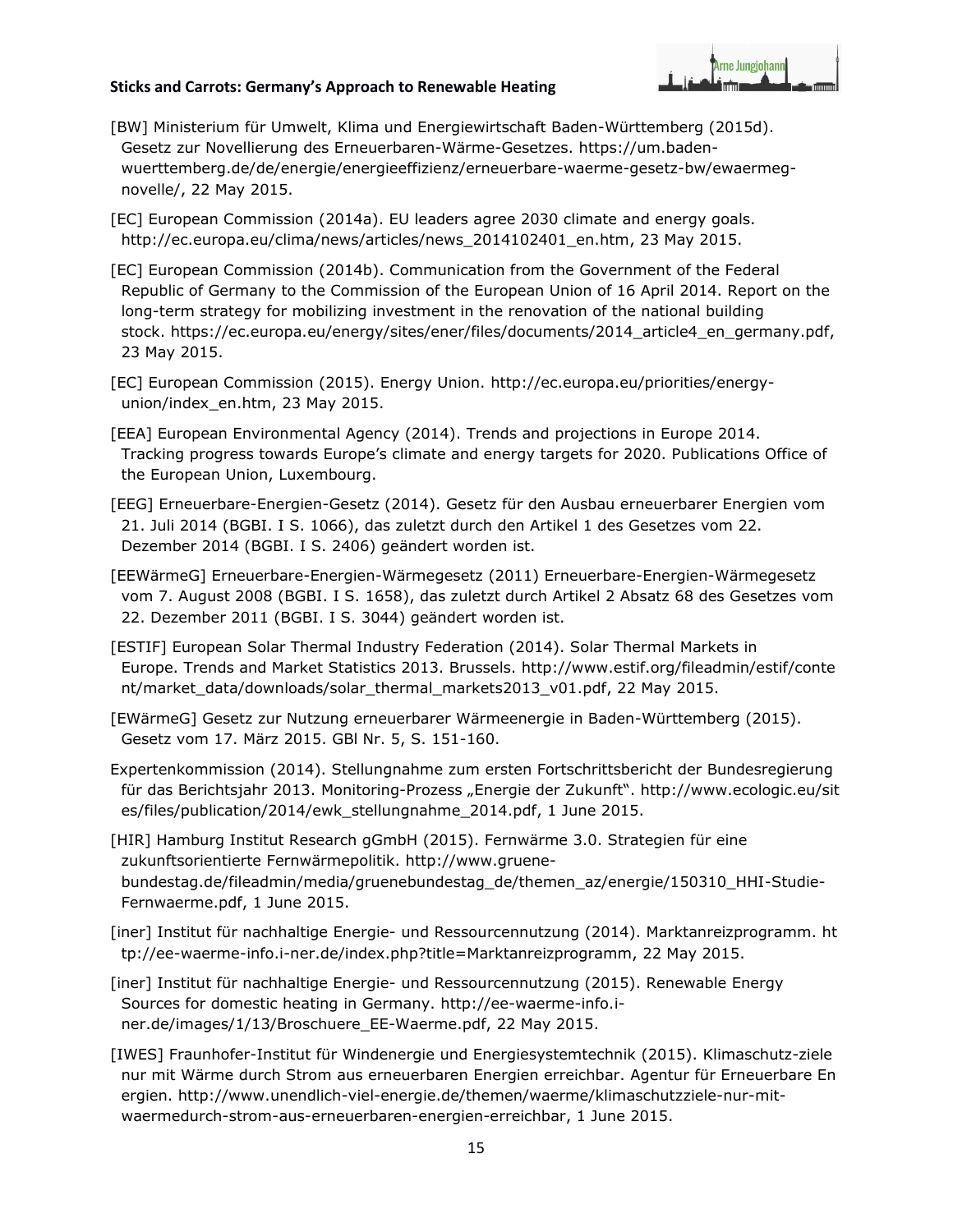

- [BW] Ministerium für Umwelt, Klima und Energiewirtschaft Baden-Württemberg (2015d). Gesetz zur Novellierung des Erneuerbaren-Wärme-Gesetzes. https://um.badenwuerttemberg.de/de/energie/energieeffizienz/erneuerbare-waerme-gesetz-bw/ewaermegnovelle/, 22 May 2015.
- [EC] European Commission (2014a). EU leaders agree 2030 climate and energy goals. [http://ec.europa.eu/clima/news/articles/news\\_2014102401\\_en.htm,](http://ec.europa.eu/clima/news/articles/news_2014102401_en.htm) 23 May 2015.
- [EC] European Commission (2014b). Communication from the Government of the Federal Republic of Germany to the Commission of the European Union of 16 April 2014. Report on the long-term strategy for mobilizing investment in the renovation of the national building stock. [https://ec.europa.eu/energy/sites/ener/files/documents/2014\\_article4\\_en\\_germany.pdf,](https://ec.europa.eu/energy/sites/ener/files/documents/2014_article4_en_germany.pdf) 23 May 2015.
- [EC] European Commission (2015). Energy Union. [http://ec.europa.eu/priorities/energy](http://ec.europa.eu/priorities/energy-union/index_en.htm)[union/index\\_en.htm,](http://ec.europa.eu/priorities/energy-union/index_en.htm) 23 May 2015.
- [EEA] European Environmental Agency (2014). Trends and projections in Europe 2014. Tracking progress towards Europe's climate and energy targets for 2020. Publications Office of the European Union, Luxembourg.
- [EEG] Erneuerbare-Energien-Gesetz (2014). Gesetz für den Ausbau erneuerbarer Energien vom 21. Juli 2014 (BGBI. I S. 1066), das zuletzt durch den Artikel 1 des Gesetzes vom 22. Dezember 2014 (BGBI. I S. 2406) geändert worden ist.
- [EEWärmeG] Erneuerbare-Energien-Wärmegesetz (2011) Erneuerbare-Energien-Wärmegesetz vom 7. August 2008 (BGBI. I S. 1658), das zuletzt durch Artikel 2 Absatz 68 des Gesetzes vom 22. Dezember 2011 (BGBI. I S. 3044) geändert worden ist.
- [ESTIF] European Solar Thermal Industry Federation (2014). Solar Thermal Markets in Europe. Trends and Market Statistics 2013. Brussels. [http://www.estif.org/fileadmin/estif/conte](http://www.estif.org/fileadmin/estif/content/market_data/downloads/solar_thermal_markets2013_v01.pdf) [nt/market\\_data/downloads/solar\\_thermal\\_markets2013\\_v01.pdf,](http://www.estif.org/fileadmin/estif/content/market_data/downloads/solar_thermal_markets2013_v01.pdf) 22 May 2015.

[EWärmeG] Gesetz zur Nutzung erneuerbarer Wärmeenergie in Baden-Württemberg (2015). Gesetz vom 17. März 2015. GBl Nr. 5, S. 151-160.

- Expertenkommission (2014). Stellungnahme zum ersten Fortschrittsbericht der Bundesregierung für das Berichtsjahr 2013. Monitoring-Prozess "Energie der Zukunft". [http://www.ecologic.eu/sit](http://www.ecologic.eu/sites/files/publication/2014/ewk_stellungnahme_2014.pdf) [es/files/publication/2014/ewk\\_stellungnahme\\_2014.pdf,](http://www.ecologic.eu/sites/files/publication/2014/ewk_stellungnahme_2014.pdf) 1 June 2015.
- [HIR] Hamburg Institut Research gGmbH (2015). Fernwärme 3.0. Strategien für eine zukunftsorientierte Fernwärmepolitik. [http://www.gruene](http://www.gruene-bundestag.de/fileadmin/media/gruenebundestag_de/themen_az/energie/150310_HHI-Studie-Fernwaerme.pdf)[bundestag.de/fileadmin/media/gruenebundestag\\_de/themen\\_az/energie/150310\\_HHI-Studie-](http://www.gruene-bundestag.de/fileadmin/media/gruenebundestag_de/themen_az/energie/150310_HHI-Studie-Fernwaerme.pdf)[Fernwaerme.pdf,](http://www.gruene-bundestag.de/fileadmin/media/gruenebundestag_de/themen_az/energie/150310_HHI-Studie-Fernwaerme.pdf) 1 June 2015.
- [iner] Institut für nachhaltige Energie- und Ressourcennutzung (2014). Marktanreizprogramm. [ht](http://ee-waerme-info.i-ner.de/index.php?title=Marktanreizprogramm) [tp://ee-waerme-info.i-ner.de/index.php?title=Marktanreizprogramm,](http://ee-waerme-info.i-ner.de/index.php?title=Marktanreizprogramm) 22 May 2015.
- [iner] Institut für nachhaltige Energie- und Ressourcennutzung (2015). Renewable Energy Sources for domestic heating in Germany. [http://ee-waerme-info.i](http://ee-waerme-info.i-ner.de/images/1/13/Broschuere_EE-Waerme.pdf)[ner.de/images/1/13/Broschuere\\_EE-Waerme.pdf,](http://ee-waerme-info.i-ner.de/images/1/13/Broschuere_EE-Waerme.pdf) 22 May 2015.
- [IWES] Fraunhofer-Institut für Windenergie und Energiesystemtechnik (2015). Klimaschutz-ziele nur mit Wärme durch Strom aus erneuerbaren Energien erreichbar. Agentur für Erneuerbare En ergien. [http://www.unendlich-viel-energie.de/themen/waerme/klimaschutzziele-nur-mit](http://www.unendlich-viel-energie.de/themen/waerme/klimaschutzziele-nur-mit-waermedurch-strom-aus-erneuerbaren-energien-erreichbar)[waermedurch-strom-aus-erneuerbaren-energien-erreichbar,](http://www.unendlich-viel-energie.de/themen/waerme/klimaschutzziele-nur-mit-waermedurch-strom-aus-erneuerbaren-energien-erreichbar) 1 June 2015.